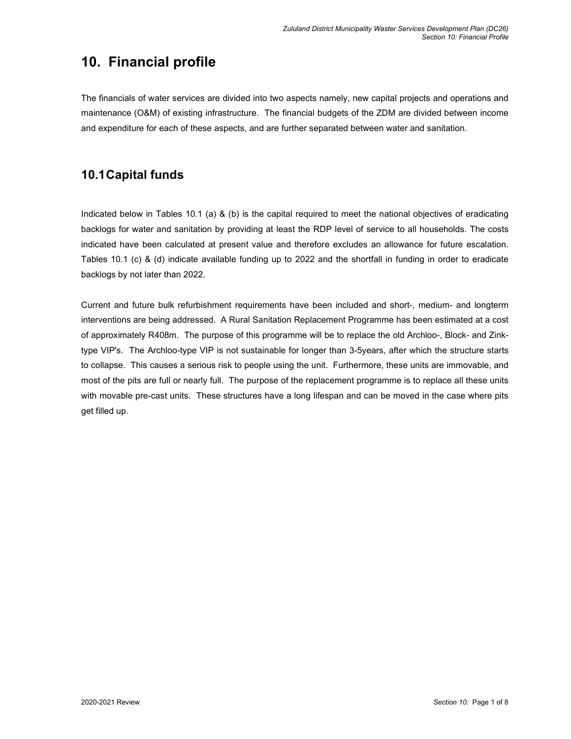## **10. Financial profile**

The financials of water services are divided into two aspects namely, new capital projects and operations and maintenance (O&M) of existing infrastructure. The financial budgets of the ZDM are divided between income and expenditure for each of these aspects, and are further separated between water and sanitation.

### **10.1 Capital funds**

Indicated below in Tables 10.1 (a) & (b) is the capital required to meet the national objectives of eradicating backlogs for water and sanitation by providing at least the RDP level of service to all households. The costs indicated have been calculated at present value and therefore excludes an allowance for future escalation. Tables 10.1 (c) & (d) indicate available funding up to 2022 and the shortfall in funding in order to eradicate backlogs by not later than 2022.

Current and future bulk refurbishment requirements have been included and short-, medium- and longterm interventions are being addressed. A Rural Sanitation Replacement Programme has been estimated at a cost of approximately R408m. The purpose of this programme will be to replace the old Archloo-, Block- and Zinktype VIP's. The Archloo-type VIP is not sustainable for longer than 3-5years, after which the structure starts to collapse. This causes a serious risk to people using the unit. Furthermore, these units are immovable, and most of the pits are full or nearly full. The purpose of the replacement programme is to replace all these units with movable pre-cast units. These structures have a long lifespan and can be moved in the case where pits get filled up.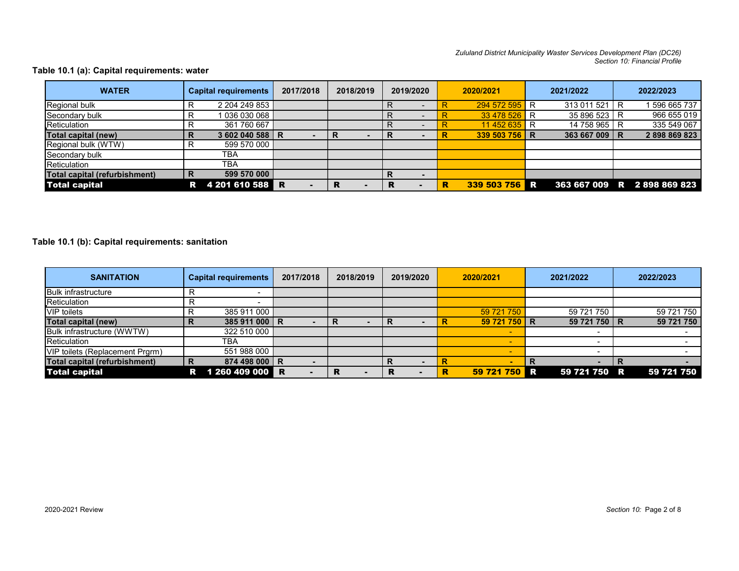*Zululand District Municipality Waster Services Development Plan (DC26) Section 10: Financial Profile* 

### **Table 10.1 (a): Capital requirements: water**

| <b>WATER</b>                  |   | <b>Capital requirements</b> | 2017/2018 | 2018/2019 |   | 2019/2020                |   | 2020/2021     | 2021/2022     | 2022/2023                   |
|-------------------------------|---|-----------------------------|-----------|-----------|---|--------------------------|---|---------------|---------------|-----------------------------|
| Regional bulk                 | R | 2 204 249 853               |           |           |   |                          |   | 294 572 595 R | 313 011 521 R | 1596 665 737                |
| Secondary bulk                | R | 036 030 068                 |           |           |   |                          |   | 33 478 526 R  | 35 896 523 R  | 966 655 019                 |
| Reticulation                  | R | 361 760 667                 |           |           |   |                          |   | 11 452 635 R  | 14 758 965 R  | 335 549 067                 |
| Total capital (new)           | R | 3 602 040 588 R             |           |           |   |                          | R | 339 503 756 R | 363 667 009 R | 2898869823                  |
| Regional bulk (WTW)           | R | 599 570 000                 |           |           |   |                          |   |               |               |                             |
| Secondary bulk                |   | тва                         |           |           |   |                          |   |               |               |                             |
| Reticulation                  |   | TBA                         |           |           |   |                          |   |               |               |                             |
| Total capital (refurbishment) | R | 599 570 000                 |           |           |   | $\overline{\phantom{0}}$ |   |               |               |                             |
| <b>Total capital</b>          |   | R 4 201 610 588 R           |           |           | R |                          | R | 339 503 756 R |               | 363 667 009 R 2 898 869 823 |

#### **Table 10.1 (b): Capital requirements: sanitation**

| <b>SANITATION</b>                    | <b>Capital requirements</b> | 2017/2018 | 2018/2019 | 2019/2020 | 2020/2021       | 2021/2022    | 2022/2023  |
|--------------------------------------|-----------------------------|-----------|-----------|-----------|-----------------|--------------|------------|
| <b>Bulk infrastructure</b>           | R                           |           |           |           |                 |              |            |
| Reticulation                         |                             |           |           |           |                 |              |            |
| <b>VIP</b> toilets                   | 385 911 000<br>R            |           |           |           | 59 721 750      | 59 721 750   | 59 721 750 |
| Total capital (new)                  | 385 911 000 R               |           |           |           | 59 721 750 R    | 59 721 750 R | 59 721 750 |
| Bulk infrastructure (WWTW)           | 322 510 000                 |           |           |           |                 |              |            |
| Reticulation                         | TBA                         |           |           |           |                 |              |            |
| VIP toilets (Replacement Prgrm)      | 551 988 000                 |           |           |           |                 |              |            |
| <b>Total capital (refurbishment)</b> | 874 498 000 R<br>R          |           |           |           |                 | R<br>×.      |            |
| Total capital                        | 1 260 409 000<br>R.         | R         |           | ĸ         | 59 721 750<br>R | 59 721 750 R | 59 721 750 |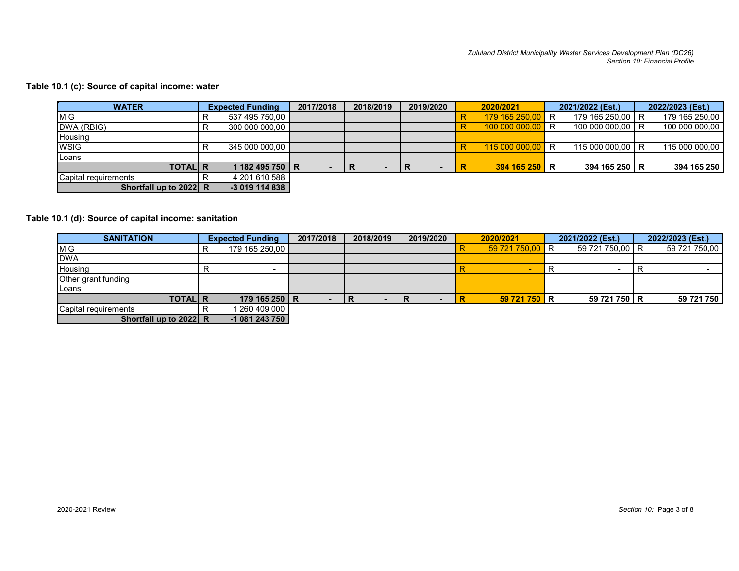### **Table 10.1 (c): Source of capital income: water**

| <b>WATER</b>           | <b>Expected Funding</b> | 2017/2018 | 2018/2019 | 2019/2020 |   | 2020/2021        | 2021/2022 (Est.) | 2022/2023 (Est.) |
|------------------------|-------------------------|-----------|-----------|-----------|---|------------------|------------------|------------------|
| <b>MIG</b>             | 537 495 750,00          |           |           |           |   | 179 165 250,00 R | 179 165 250,00 R | 179 165 250,00   |
| DWA (RBIG)             | 300 000 000,00          |           |           |           |   | $10000000000$ R  | 100 000 000,00 R | 100 000 000,00   |
| Housing                |                         |           |           |           |   |                  |                  |                  |
| <b>WSIG</b>            | 345 000 000.00          |           |           |           |   | 115 000 000,00 R | 115 000 000.00 R | 115 000 000.00   |
| <b>ILoans</b>          |                         |           |           |           |   |                  |                  |                  |
| <b>TOTAL R</b>         | 1 182 495 750 R         |           |           |           | R | 394 165 250 R    | 394 165 250 R    | 394 165 250      |
| Capital requirements   | 4 201 610 588           |           |           |           |   |                  |                  |                  |
| Shortfall up to 2022 R | $-3019114838$           |           |           |           |   |                  |                  |                  |

### **Table 10.1 (d): Source of capital income: sanitation**

| <b>SANITATION</b>      |   | <b>Expected Funding</b> | 2017/2018 | 2018/2019 | 2019/2020 | 2020/2021       | 2021/2022 (Est.) | 2022/2023 (Est.) |
|------------------------|---|-------------------------|-----------|-----------|-----------|-----------------|------------------|------------------|
| <b>MIG</b>             | R | 179 165 250,00          |           |           |           | 59 721 750,00 R | 59 721 750,00 R  | 59 721 750,00    |
| <b>DWA</b>             |   |                         |           |           |           |                 |                  |                  |
| Housing                |   |                         |           |           |           | <b>.</b>        |                  |                  |
| Other grant funding    |   |                         |           |           |           |                 |                  |                  |
| Loans                  |   |                         |           |           |           |                 |                  |                  |
| <b>TOTAL R</b>         |   | 179 165 250 R           |           |           |           | 59 721 750 R    | 59 721 750 R     | 59 721 750       |
| Capital requirements   |   | 260 409 000             |           |           |           |                 |                  |                  |
| Shortfall up to 2022 R |   | $-1081243750$           |           |           |           |                 |                  |                  |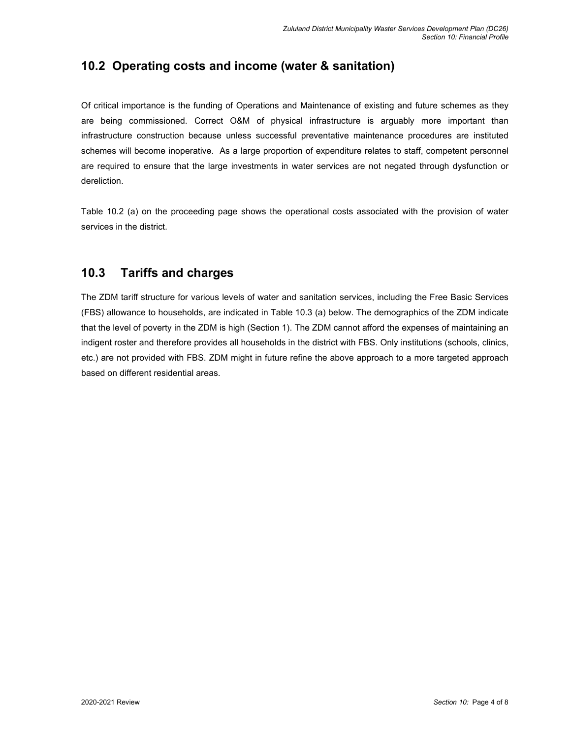## **10.2 Operating costs and income (water & sanitation)**

Of critical importance is the funding of Operations and Maintenance of existing and future schemes as they are being commissioned. Correct O&M of physical infrastructure is arguably more important than infrastructure construction because unless successful preventative maintenance procedures are instituted schemes will become inoperative. As a large proportion of expenditure relates to staff, competent personnel are required to ensure that the large investments in water services are not negated through dysfunction or dereliction.

Table 10.2 (a) on the proceeding page shows the operational costs associated with the provision of water services in the district.

### **10.3 Tariffs and charges**

The ZDM tariff structure for various levels of water and sanitation services, including the Free Basic Services (FBS) allowance to households, are indicated in Table 10.3 (a) below. The demographics of the ZDM indicate that the level of poverty in the ZDM is high (Section 1). The ZDM cannot afford the expenses of maintaining an indigent roster and therefore provides all households in the district with FBS. Only institutions (schools, clinics, etc.) are not provided with FBS. ZDM might in future refine the above approach to a more targeted approach based on different residential areas.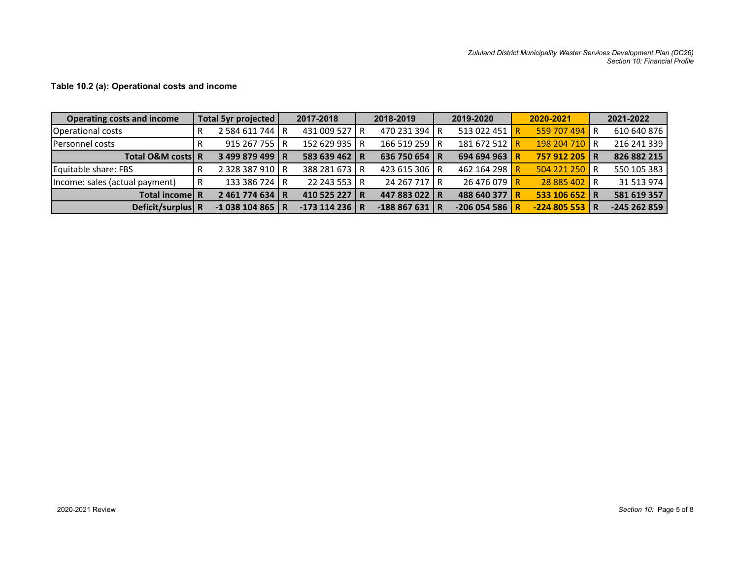| <b>Operating costs and income</b> | Total 5yr projected |                 | 2017-2018      | 2018-2019      | 2019-2020     | 2020-2021     |                         | 2021-2022    |
|-----------------------------------|---------------------|-----------------|----------------|----------------|---------------|---------------|-------------------------|--------------|
| <b>Operational costs</b>          | R                   | 2 584 611 744   | 431 009 527 R  | 470 231 394 R  | 513 022 451 R | 559 707 494   | R                       | 610 640 876  |
| <b>Personnel costs</b>            | R                   | 915 267 755 R   | 152 629 935 R  | 166 519 259 R  | 181 672 512 R | 198 204 710   | R                       | 216 241 339  |
| <b>Total O&amp;M costsl R</b>     |                     | 3499879499 R    | 583 639 462 R  | 636 750 654 R  | 694 694 963 R | 757 912 205   | R                       | 826 882 215  |
| Equitable share: FBS              | R                   | 2 328 387 910 R | 388 281 673 R  | 423 615 306 R  | 462 164 298 R | 504 221 250   | R                       | 550 105 383  |
| Income: sales (actual payment)    | R                   | 133 386 724 R   | 22 243 553 R   | 24 267 717 R   | 26 476 079 R  | 28 885 402    | 'R                      | 31 513 974   |
| Total income R                    |                     | 2461774634 R    | 410 525 227 R  | 447 883 022 R  | 488 640 377 R | 533 106 652 R |                         | 581 619 357  |
| Deficit/surplus R                 |                     | $-1038104865$ R | $-173114236$ R | $-188867631$ R | $-206054586$  | $-224805553$  | $\overline{\mathsf{R}}$ | $-245262859$ |

### **Table 10.2 (a): Operational costs and income**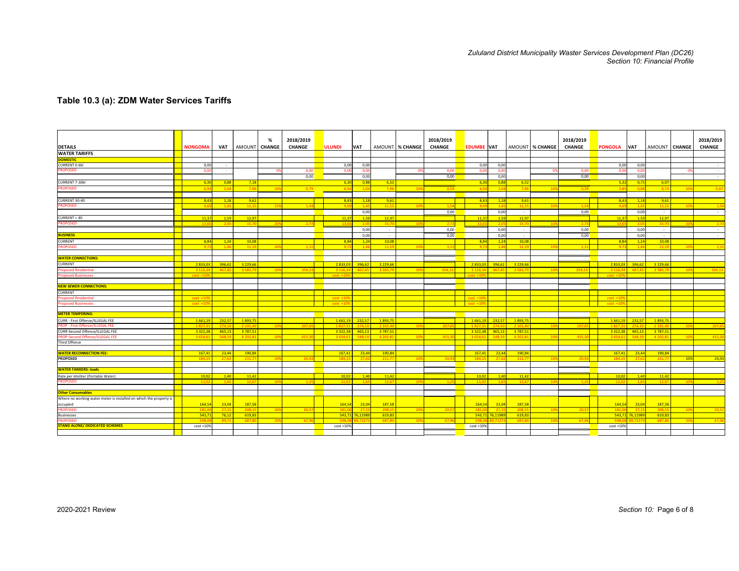# *Zululand District Municipality Waster Services Development Plan (DC26) Section 10: Financial Profile*

#### **Table 10.3 (a): ZDM Water Services Tariffs**

| <b>DETAILS</b>                                                              | <b>NONGOMA</b>    | <b>VAT</b>       | AMOUNT              | %<br><b>CHANGE</b> | 2018/2019<br><b>CHANGE</b> | <b>ULUNDI</b>       | VAT                     |                     | AMOUNT % CHANGE | 2018/2019<br><b>CHANGE</b> | <b>EDUMBE VAT</b>   |                  |                    | AMOUNT % CHANGE | 2018/2019<br><b>CHANGE</b> | <b>PONGOLA</b> | <b>VAT</b>               | AMOUNT   CHANGE    |                 | 2018/2019<br><b>CHANGE</b> |
|-----------------------------------------------------------------------------|-------------------|------------------|---------------------|--------------------|----------------------------|---------------------|-------------------------|---------------------|-----------------|----------------------------|---------------------|------------------|--------------------|-----------------|----------------------------|----------------|--------------------------|--------------------|-----------------|----------------------------|
| <b>WATER TARIFFS</b>                                                        |                   |                  |                     |                    |                            |                     |                         |                     |                 |                            |                     |                  |                    |                 |                            |                |                          |                    |                 |                            |
| <b>DOMESTIC</b>                                                             |                   |                  |                     |                    |                            |                     |                         |                     |                 |                            |                     |                  |                    |                 |                            |                |                          |                    |                 |                            |
| <b>CURRENT 0-6kl</b>                                                        | 0.00              |                  |                     |                    |                            | 0,00                | 0.00                    |                     |                 |                            | 0,00                | 0,00             |                    |                 |                            | 0.00           | 0.00                     |                    |                 | $\sim$                     |
| <b>ROPOSED</b>                                                              | 0.0               |                  |                     |                    | 0,00                       | 0.0                 | 0,0                     |                     |                 | 0,00                       | 0.0                 | 0,00             |                    |                 | 0,00                       | -0.0           | 0,00                     |                    |                 |                            |
|                                                                             |                   |                  |                     |                    | 0,00                       |                     | 0,0                     |                     |                 | 0,00                       |                     | 0,00             |                    |                 | 0,00                       |                | 0,00                     |                    |                 |                            |
|                                                                             |                   |                  |                     |                    |                            |                     |                         |                     |                 |                            |                     |                  |                    |                 |                            |                |                          |                    |                 | $\sim$                     |
| <b>CURRENT 7-30kl</b>                                                       | 6,30              | 0,88             | 7,18                |                    |                            | 6,30                | 0,8                     | 6,52                |                 |                            | 6,30                | 0,88             | 6,52               |                 |                            | 5,32           | 0,75                     | 6,07               |                 |                            |
| <b>PROPOSED</b>                                                             | 60                | 1.0 <sub>1</sub> | 79                  | 10                 | 0,79                       | 6.9                 | $-1.0$                  | 7.96                | 10              | 0.59                       | $-6.9$              | 1.0              | 7.96               | 10              | 0.59                       | $\mathbf{C}$   | 0.83                     | 6.73               | 10              | 0,67                       |
|                                                                             |                   |                  |                     |                    |                            |                     |                         |                     |                 |                            |                     |                  |                    |                 |                            |                |                          |                    |                 |                            |
| CURRENT 30-40                                                               | 8.43              | 1.18             | 9.61                |                    |                            | 8.43                | 1.18                    | 9.61                |                 |                            | 8.43                | 1.18             | 9.61               |                 |                            | 8.43           | 1.18                     | 9.61               |                 |                            |
| <b>ROPOSED</b>                                                              |                   |                  | 11 <sup>1</sup>     |                    |                            | $\alpha$            | $\overline{1}$          | 11,1!               |                 |                            |                     | 1.4              | 11,1!              |                 |                            |                | 1.4                      | 1111               |                 |                            |
|                                                                             |                   |                  |                     |                    |                            |                     | 0,00                    | $\sim$              |                 | 0,00                       |                     | 0,00             | $\sim$             |                 | 0,00                       |                | 0,00                     | $\sim$             |                 | $\sim$                     |
| CURRENT > 40                                                                | 11,3              | 1,59             | 12,97               |                    |                            | 11,37               | 1,5                     | 12,97               |                 |                            | 11,37               | 1,59             | 12,97              |                 |                            | 11,37          | 1,59                     | 12,97              |                 |                            |
| <b>PROPOSED</b>                                                             | 13.               | 20               | 15.7                | $\overline{2}$     |                            | 13.6                | $\overline{\mathbf{z}}$ | 15.7                |                 | 2,73                       | 13.6                |                  | 15,70              |                 | 2.73                       | 13.6           | 2.0                      |                    |                 | $\mathcal{D}$              |
|                                                                             |                   |                  |                     |                    |                            |                     | 0,0                     | $\sim$              |                 | 0,00                       |                     | 0,00             | $\sim$             |                 | 0,00                       |                | 0,00                     | $\sim$             |                 | $\sim$                     |
| <b>BUSINESS</b>                                                             |                   |                  |                     |                    |                            |                     | 0.00                    | $\sim$              |                 | 0,00                       |                     | 0.00             | $\sim$             |                 | 0.00                       |                | 0.00                     | $\sim$             |                 | $\sim$                     |
| <b>CURRENT</b>                                                              | 8.84              | 1,24             | 10,08               |                    |                            | 8,84                | 1,2                     | 10,08               |                 |                            | 8,84                | 1,24             | 10,08              |                 |                            | 8,84           | 1,24                     | 10,08              |                 |                            |
| <b>PROPOSED</b>                                                             |                   |                  | 11.1                |                    | 1.11                       | 9.7                 |                         | 11.1                |                 | 1.11                       | $\alpha$            | 1.46             | 11.1               | $-10$           | 1.11                       |                | 14                       | 11.1               |                 | $-1.1$                     |
|                                                                             |                   |                  |                     |                    |                            |                     |                         |                     |                 |                            |                     |                  |                    |                 |                            |                |                          |                    |                 |                            |
| <b>WATER CONNECTIONS:</b>                                                   |                   |                  |                     |                    |                            |                     |                         |                     |                 |                            |                     |                  |                    |                 |                            |                |                          |                    |                 |                            |
| <b>CURRENT</b>                                                              | 2833.0            | 396.62           | 3 2 2 9 . 6 6       |                    |                            | 2833.03             | 396.62                  | 3 2 2 9 . 6         |                 |                            | 2833.0              | 396.62           | 3 2 2 9 . 6        |                 |                            | 2833.03        | 396.62                   | 3 2 2 9 . 6        |                 |                            |
| <b>Proposed Residentia</b>                                                  | 3.116             | 467              | 3.583.              | $\overline{10}$    | 354.13                     | 3.116.3             | 467.4                   | 3.583.              | 10              | 354.1                      | 3.116.              | 467              | 3.583.7            | $\overline{10}$ | 354.13                     | 3.116          | 467.45                   | 3.583              | $\overline{10}$ | 354,1                      |
| <b>Proposed Businesses</b>                                                  | $cost +1$         |                  |                     |                    |                            | $\text{cost}$ +1    |                         |                     |                 |                            |                     |                  |                    |                 |                            | cost.          |                          |                    |                 |                            |
|                                                                             |                   |                  |                     |                    |                            |                     |                         |                     |                 |                            |                     |                  |                    |                 |                            |                |                          |                    |                 |                            |
| <b>NEW SEWER CONNECTIONS:</b>                                               |                   |                  |                     |                    |                            |                     |                         |                     |                 |                            |                     |                  |                    |                 |                            |                |                          |                    |                 |                            |
| <b>CURRENT</b>                                                              |                   |                  |                     |                    |                            |                     |                         |                     |                 |                            |                     |                  |                    |                 |                            |                |                          |                    |                 |                            |
|                                                                             | $cost +1$         |                  |                     |                    |                            | $cost + 1$          |                         |                     |                 |                            | $nst + 10$          |                  |                    |                 |                            | $cost +$       |                          |                    |                 |                            |
| <b>Proposed Residentia</b>                                                  |                   |                  |                     |                    |                            | $cost +10$          |                         |                     |                 |                            | $cost +10$          |                  |                    |                 |                            | $cost + 1$     |                          |                    |                 |                            |
| <b>Proposed Businesses</b>                                                  | $cost + 1$        |                  |                     |                    |                            |                     |                         |                     |                 |                            |                     |                  |                    |                 |                            |                |                          |                    |                 |                            |
| <b>METER TEMPERING:</b>                                                     |                   |                  |                     |                    |                            |                     |                         |                     |                 |                            |                     |                  |                    |                 |                            |                |                          |                    |                 |                            |
|                                                                             |                   |                  |                     |                    |                            |                     |                         |                     |                 |                            |                     |                  |                    |                 |                            |                |                          |                    |                 |                            |
| CURR - First Offence/ILLEGAL FEE<br><b>PROP - First Offence/ILLEGAL FEE</b> | 1661,19<br>1827.3 | 232,5            | 1893,75<br>2 10 1.4 | $-10o$             | 207.65                     | 1 661,19<br>1827.31 | 232,57<br>274.1         | 1893,75<br>2 10 1.4 | 109             | 207.69                     | 1 661,19<br>1.827.3 | 232,57<br>274.10 | 1893,75<br>2 101.4 | 10 <sup>°</sup> | 207.65                     | 1827.3         | 1661,19 232,57<br>274.10 | 1 893,7<br>2,101.4 | $-10$           | 207,6                      |
| CURR-Second Offence/ILLEGAL FEE                                             | 3322,3            | 274.1<br>465,1   | 3787,51             |                    |                            | 3 3 2 2, 3 8        | 465,13                  | 3 787,53            |                 |                            | 3 3 2 2, 38         | 465,13           | 3 787,5            |                 |                            | 3 3 2 2 , 3 8  | 465,13                   | 3 787,51           |                 |                            |
|                                                                             |                   | 548.1            | 4 20 2.8            |                    | 415.30                     | 3 6 5 4 . 6         | 548.1                   | 4202.8              |                 | 415.3                      | 3.654.6             | 548.1            | 4 20 2.8           | 10 <sup>5</sup> |                            | 3.654          | 548.19                   | 4 202.8            | 10              |                            |
| PROP-Second Offence/ILLEGAL FEE<br>Third Offence                            | 3 6 5 4           |                  |                     | 10 <sup>°</sup>    |                            |                     |                         |                     | 109             |                            |                     |                  |                    |                 | 415,3                      |                |                          |                    |                 | 415,3                      |
|                                                                             |                   |                  |                     |                    |                            |                     |                         |                     |                 |                            |                     |                  |                    |                 |                            |                |                          |                    |                 |                            |
| <b>WATER RECONNECTION FEE:</b>                                              | 167,41            | 23,44            | 190,84              |                    |                            | 167,41              | 23,4                    | 190,8               |                 |                            | 167,41              | 23,44            | 190,84             |                 |                            | 167,41         | 23,44                    | 190,84             |                 |                            |
| <b>PROPOSED</b>                                                             |                   | -27.             | 211.7               |                    |                            | 184.1               | -27.                    | 211.7               |                 |                            | 184                 | 27.6             | 211.7              |                 |                            |                | 27.6                     | 211.7              | 10%             | 20,93                      |
|                                                                             |                   |                  |                     |                    |                            |                     |                         |                     |                 |                            |                     |                  |                    |                 |                            |                |                          |                    |                 |                            |
| <b>WATER TANKERS: loads</b>                                                 |                   |                  |                     |                    |                            |                     |                         |                     |                 |                            |                     |                  |                    |                 |                            |                |                          |                    |                 |                            |
|                                                                             | 10.02             | 1.40             | 11.42               |                    |                            | 10.02               | $-1.40$                 | 11.42               |                 |                            | 10.02               | 1.40             | 11.42              |                 |                            | 10.02          | 1.40                     | 11.42              |                 |                            |
| Rate per kiloliter (Portable Water)<br><b>PROPOSED</b>                      | 11.0              | 16               | 12.6                |                    | 1.25                       | 11.0                | $-11$                   | 12,6                | 10              |                            | 11.0                | $-1.6$           | 12,6               | $-10$           |                            | 11.0           | $1.6^{\circ}$            | 12.6               |                 | $-1.2$                     |
|                                                                             |                   |                  |                     |                    |                            |                     |                         |                     |                 |                            |                     |                  |                    |                 |                            |                |                          |                    |                 |                            |
|                                                                             |                   |                  |                     |                    |                            |                     |                         |                     |                 |                            |                     |                  |                    |                 |                            |                |                          |                    |                 |                            |
| <b>Other Consumables</b>                                                    |                   |                  |                     |                    |                            |                     |                         |                     |                 |                            |                     |                  |                    |                 |                            |                |                          |                    |                 |                            |
| Where no working water meter is installed on which the property             |                   |                  |                     |                    |                            |                     |                         |                     |                 |                            |                     |                  |                    |                 |                            |                |                          |                    |                 |                            |
| occupied                                                                    | 164,54            | 23,04            | 187,58              |                    |                            | 164,54              | 23,04                   | 187,58              |                 |                            | 164,54              | 23,04            | 187,58             |                 |                            | 164,54         | 23,04                    | 187,58             |                 |                            |
| <b>PROPOSED</b>                                                             | 181.              | 27.1             | 208.1               | $\overline{10}$    | 20.5                       | 181.0               | 27.                     | 208.1               | 10              | 20.5                       | 181.                | 27.1             | 208.1              | 10              | 20.5                       | 181.0          | 27.1                     | 208.1              |                 | 20.5                       |
| <b>Businesses</b>                                                           | 543.7             | 76,12            | 619,83              |                    |                            |                     | 543.71 76.1198          | 619,83              |                 |                            |                     | 543.71 76.11989  | 619,83             |                 |                            |                | 543,71 76,11989          | 619,83             |                 |                            |
| <b>ROPOSED</b>                                                              |                   | 89.7             | 687.8               |                    | 67.9                       |                     |                         | 687.1               |                 | 67                         |                     |                  | 687.8              |                 | 67.9                       |                |                          | 687.               |                 | 67,9                       |
| <b>STAND ALONE/ DEDICATED SCHEMES</b>                                       | $cost + 109$      |                  |                     |                    |                            | $cost + 10%$        |                         |                     |                 |                            | $cost + 10%$        |                  |                    |                 |                            | $cost + 10%$   |                          |                    |                 |                            |
|                                                                             |                   |                  |                     |                    |                            |                     |                         |                     |                 |                            |                     |                  |                    |                 |                            |                |                          |                    |                 |                            |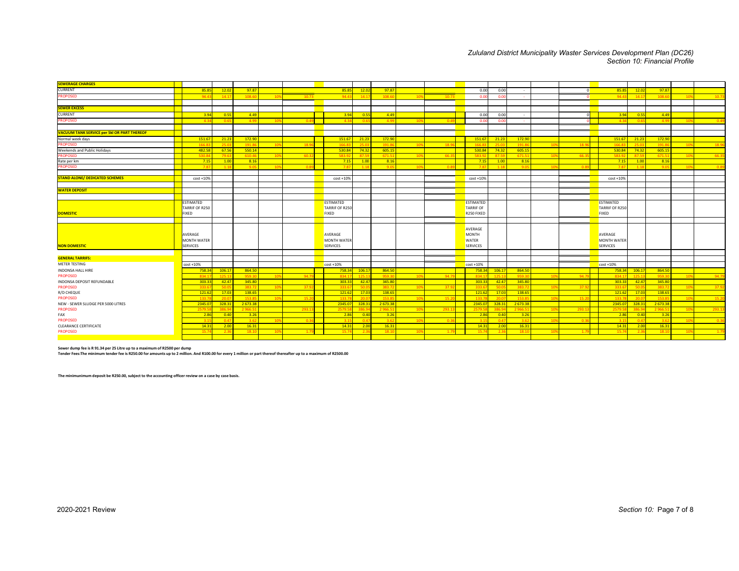# *Zululand District Municipality Waster Services Development Plan (DC26) Section 10: Financial Profile*

| <b>SEWERAGE CHARGES</b>                            |                    |              |               |                 |       |                  |             |                |                 |         |                  |            |                |                 |                |                    |             |               |                 |       |
|----------------------------------------------------|--------------------|--------------|---------------|-----------------|-------|------------------|-------------|----------------|-----------------|---------|------------------|------------|----------------|-----------------|----------------|--------------------|-------------|---------------|-----------------|-------|
| <b>CURRENT</b>                                     | 85.8               | 12.02        | 97.87         |                 |       | 85.85            | 12.02       | 97.87          |                 |         | 0.00             | 0.00       | $\sim$         |                 | $\overline{0}$ | 85.8               | 12.02       | 97.87         |                 |       |
| <b>PROPOSED</b>                                    | 94.4               | 14.1         | 108.6         | 10 <sup>9</sup> | 10.73 | 94.4             | 14.1        | 108.6          | 10%             | 10.73   | 0.00             | 0.0        |                |                 | $\Omega$       | 94.4               | 14.1        | 108.6         | 109             | 10.75 |
|                                                    |                    |              |               |                 |       |                  |             |                |                 |         |                  |            |                |                 |                |                    |             |               |                 |       |
| <b>SEWER EXCESS</b>                                |                    |              |               |                 |       |                  |             |                |                 |         |                  |            |                |                 |                |                    |             |               |                 |       |
| CURRENT                                            | 3.94               | $-0.55$      | 4.49          |                 |       | 3.94             | 0.55        | 4.49           |                 |         | 0.00             | 0.00       | $\sim$         |                 |                | 3.94               | 0.55        | 4.49          |                 |       |
| <b>PROPOSED</b>                                    | $-4.3$             | 0.65         | 4.99          | 10 <sup>9</sup> | 0.4   | 4.34             | 0.6         | 4.99           | 10%             | 0.4     | 0.00             | 0.0        |                |                 |                | 4.3                | 0.6         | 4.99          | 10%             | 0.49  |
|                                                    |                    |              |               |                 |       |                  |             |                |                 |         |                  |            |                |                 |                |                    |             |               |                 |       |
| <b>VACUUM TANK SERVICE per 5kl OR PART THEREOF</b> |                    |              |               |                 |       |                  |             |                |                 |         |                  |            |                |                 |                |                    |             |               |                 |       |
| Normal week days                                   | 151.67             | 21.23        | 172.90        |                 |       | 151.67           | 21.23       | 172.90         |                 |         | 151.67           | 21.23      | 172.90         |                 |                | 151.67             | 21.23       | 172.90        |                 |       |
| <b>PROPOSED</b>                                    | 166.8              | $-25.0$      | 191.8         | 10 <sup>9</sup> | 18.9  | 166.83           | 25.0        | 191.8          | 10%             | $-18.9$ | 166.83           | 25.0       | 191.86         | 10              | 18.9           | 166.8              | 750         | 191.8         | $-10%$          | 18.9  |
| <b>Weekends and Public Holidays</b>                | 482.58             | 67.56        | 550.14        |                 |       | 530.84           | 74.32       | 605.15         |                 |         | 530.84           | 74.32      | 605.15         |                 |                | 530.84             | 74.32       | 605.15        |                 |       |
| <b>PROPOSED</b>                                    | 530.8              | 79.6         | 610.4         | 10 <sup>9</sup> | 60.3  | 592              | 87.5        | 671.5          |                 | 66.     | 583.92           | 87.5       | 671.51         |                 | 66.3           | 583.9              |             | 671.5         | $-109$          | 66.3  |
| Rate per km                                        | 7.15               | 1.00         | 8.16          |                 |       | 7.15             | 1.00        | 8.16           |                 |         | 7.15             | 1.00       | 8.16           |                 |                | 7.15               | 1.00        | 8.16          |                 |       |
| <b>PROPOSED</b>                                    | 7.8                | 1.18         | $\alpha$      | $-105$          | 0.8   | 7.87             | $-1.11$     | 9.0            | 10 <sup>1</sup> |         | 7.87             | 1.18       | 9.05           |                 |                | 7.87               | 1.11        | 9.0           | $-105$          | 0.8   |
|                                                    |                    |              |               |                 |       |                  |             |                |                 |         |                  |            |                |                 |                |                    |             |               |                 |       |
| <b>STAND ALONE/ DEDICATED SCHEMES</b>              | $cost + 10%$       |              |               |                 |       | $cost + 10%$     |             |                |                 |         | $cost + 10%$     |            |                |                 |                | $cost + 10%$       |             |               |                 |       |
|                                                    |                    |              |               |                 |       |                  |             |                |                 |         |                  |            |                |                 |                |                    |             |               |                 |       |
| <b>WATER DEPOSIT</b>                               |                    |              |               |                 |       |                  |             |                |                 |         |                  |            |                |                 |                |                    |             |               |                 |       |
|                                                    |                    |              |               |                 |       |                  |             |                |                 |         |                  |            |                |                 |                |                    |             |               |                 |       |
|                                                    | ESTIMATED          |              |               |                 |       | <b>ESTIMATED</b> |             |                |                 |         | <b>ESTIMATED</b> |            |                |                 |                | ESTIMATED          |             |               |                 |       |
|                                                    | TARRIF OF R250     |              |               |                 |       | TARRIF OF R250   |             |                |                 |         | <b>TARRIF OF</b> |            |                |                 |                | TARRIF OF R250     |             |               |                 |       |
| <b>DOMESTIC</b>                                    | <b>FIXED</b>       |              |               |                 |       | <b>FIXED</b>     |             |                |                 |         | R250 FIXED       |            |                |                 |                | FIXED              |             |               |                 |       |
|                                                    |                    |              |               |                 |       |                  |             |                |                 |         |                  |            |                |                 |                |                    |             |               |                 |       |
|                                                    |                    |              |               |                 |       |                  |             |                |                 |         | AVERAGE          |            |                |                 |                |                    |             |               |                 |       |
|                                                    | AVERAGE            |              |               |                 |       | AVERAGE          |             |                |                 |         | <b>MONTH</b>     |            |                |                 |                | AVERAGE            |             |               |                 |       |
|                                                    | <b>MONTH WATER</b> |              |               |                 |       | MONTH WATER      |             |                |                 |         | <b>WATER</b>     |            |                |                 |                | <b>MONTH WATER</b> |             |               |                 |       |
| <b>NON DOMESTIC</b>                                | <b>SERVICES</b>    |              |               |                 |       | SERVICES         |             |                |                 |         | <b>SERVICES</b>  |            |                |                 |                | SERVICES           |             |               |                 |       |
|                                                    |                    |              |               |                 |       |                  |             |                |                 |         |                  |            |                |                 |                |                    |             |               |                 |       |
| <b>GENERAL TARRIFS:</b>                            |                    |              |               |                 |       |                  |             |                |                 |         |                  |            |                |                 |                |                    |             |               |                 |       |
| METER TESTING                                      | $cost + 10%$       |              |               |                 |       | $cost + 10%$     |             |                |                 |         | $cost + 10%$     |            |                |                 |                | $cost + 10%$       |             |               |                 |       |
| <b>INDONSA HALL HIRE</b>                           | 758.3              | 106.17       | 864.50        |                 |       | 758.34           | 106.17      | 864.50         |                 |         | 758.34           | 106.1      | 864.50         |                 |                | 758.34             | 106.17      | 864.50        |                 |       |
| <b>PROPOSED</b>                                    | 834.1              | 125.13       | 959.3         | 10 <sup>9</sup> | 94.7  | 834.17           | 125.1       | 959.3          | 10%             | 94.7    | 834.1            | 125.1      | 959.30         | 10 <sup>6</sup> | 94.7           | 834.1              | 125.1       | 959.3         | 10%             | 94.79 |
| INDONSA DEPOSIT REFUNDABLE                         | 303.3              | 42.47        | 345.80        |                 |       | 303.33           | 42.47       | 345.80         |                 |         | 303.33           | 42.4       | 345.80         |                 |                | 303.33             | 42.47       | 345.80        |                 |       |
| <b>PROPOSED</b>                                    | 333.6              | $-50.0$      | 383.7         | $-109$          | 37.9  | 333.6            | 50.0        | 383.73         | 10 <sup>1</sup> | 37.     | 333.6            | $-50.0$    | 383.72         | 10              | 37.            | 333.               | 50.0        | 383.7         | 109             | 37.9  |
| R/D CHEQUE                                         | 121.6              | 17.03        | 138.65        |                 |       | 121.62           | 17.03       | 138.65         |                 |         | 121.62           | 17.03      | 138.65         |                 |                | 121.62             | 17.03       | 138.65        |                 |       |
| <b>PROPOSED</b>                                    | 133.7              | 20.0         | 153.8         | 109             | 15.2  | 133.7            | 20.0        | 153.8          | 109             | 15.2    | 133.7            | 20.0       | 153.85         | 10 <sup>6</sup> | 15.2           | 133.               | 20f         | 153.8         | 10%             | 15.20 |
| NEW - SEWER SLUDGE PER 5000 LITRES                 | 2345.0             | 328.31       | 2 673.38      |                 |       | 2345.07          | 328.31      | 2 673.38       |                 |         | 2345.07          | 328.3      | 2 673.38       |                 |                | 2345.07            | 328.31      | 2 673.38      |                 |       |
| <b>PROPOSED</b>                                    | 2579.              | 386.         | 2966.5        |                 | 293.1 | 2579.            | 386.9       | 2.966          | 109             | 293.3   | 2579.            | 386.5      | 2966.51        |                 | 293.3          | 2579.              |             | 2 9 6 6.5     | 109             | 293.1 |
| FAX                                                | 2.86               | 0.40         | 3.26          |                 |       | 2.86             | 0.40        | 3.26           |                 |         | 2.86             | 0.40       | 3.26           |                 |                | 2.86               | 0.40        | 3.26          |                 |       |
| <b>PROPOSED</b>                                    | $-3.1$             | 0.47         | $-3.62$       | 10 <sup>9</sup> | 0.3   | 3.15             | 0.4         | 3.62           | 10%             | 0.3     | $-3.1$           | 0.4        | 3.62           | 10%             | 0.3            | $-3.1'$            | 0.4         | $-3.62$       | 10%             | 0.36  |
| <b>CLEARANCE CERTIFICATE</b><br><b>PROPOSED</b>    | 14.3<br>15.7       | 2.00<br>2.36 | 16.31<br>18.1 | $-105$          | 1.7   | 14.31<br>15.74   | 2.00<br>2.3 | 16.31<br>18.10 | 10%             | $-1.7$  | 14.31<br>15.7    | 2.00<br>23 | 16.31<br>18.10 | 10 <sup>6</sup> | $-1.7$         | 14.31<br>15.7      | 2.00<br>2.3 | 16.31<br>18.1 | 10 <sup>9</sup> | 1.79  |
| <b>Contract Contract</b>                           |                    |              |               |                 |       |                  |             |                |                 |         |                  |            |                |                 |                |                    |             |               |                 |       |

Sewer dump fee is R 91.34 per 25 Litre up to a maximum of R2500 per dump<br>Tender Fees:The minimum tender fee is R250.00 for amounts up to 2 million. And R100.00 for every 1 million or part thereof thereafter up to a maximum

**The minimunimum deposit be R250.00, subject to the accounting officer review on a case by case basis.**